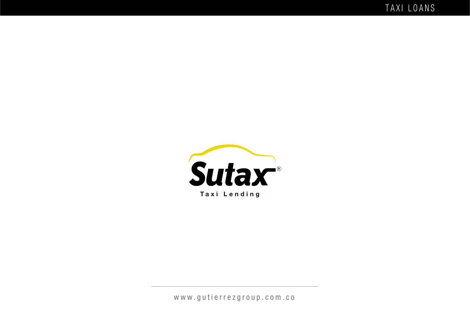TAXI LOANS



**Taxi Lending**

www.gutierrezgroup.com.co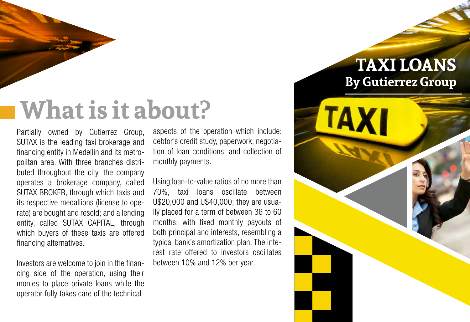# **What is it about?**

Partially owned by Gutierrez Group, SUTAX is the leading taxi brokerage and financing entity in Medellin and its metropolitan area. With three branches distributed throughout the city, the company operates a brokerage company, called SUTAX BROKER, through which taxis and its respective medallions (license to operate) are bought and resold; and a lending entity, called SUTAX CAPITAL, through which buyers of these taxis are offered financing alternatives.

Investors are welcome to join in the financing side of the operation, using their monies to place private loans while the operator fully takes care of the technical

aspects of the operation which include: debtor's credit study, paperwork, negotiation of loan conditions, and collection of monthly payments.

Using loan-to-value ratios of no more than 70%, taxi loans oscillate between U\$20,000 and U\$40,000; they are usually placed for a term of between 36 to 60 months; with fixed monthly payouts of both principal and interests, resembling a typical bank's amortization plan. The interest rate offered to investors oscillates between 10% and 12% per year.

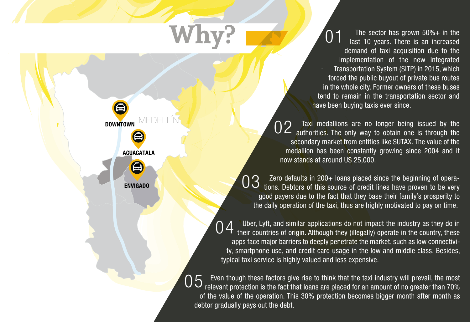The sector has grown  $50\% +$  in the last 10 years. There is an increased demand of taxi acquisition due to the implementation of the new Integrated Transportation System (SITP) in 2015, which forced the public buyout of private bus routes in the whole city. Former owners of these buses tend to remain in the transportation sector and have been buying taxis ever since. 01

Taxi medallions are no longer being issued by the  $02$  Taxi medallions are no longer being issued by the authorities. The only way to obtain one is through the secondary market from entities like SUTAX. The value of the medallion has been constantly growing since 2004 and it now stands at around U\$ 25,000.

Zero defaults in 200+ loans placed since the beginning of operations. Debtors of this source of credit lines have proven to be very good payers due to the fact that they base their family's prosperity to the daily operation of the taxi, thus are highly motivated to pay on time. 03

Uber, Lyft, and similar applications do not impact the industry as they do in their countries of origin. Although they (illegally) operate in the country, these apps face major barriers to deeply penetrate the market, such as low connectivity, smartphone use, and credit card usage in the low and middle class. Besides, typical taxi service is highly valued and less expensive. 04

Even though these factors give rise to think that the taxi industry will prevail, the most relevant protection is the fact that loans are placed for an amount of no greater than 70% of the value of the operation. This 30% protection becomes bigger month after month as debtor gradually pays out the debt. 05

DOWNTOWN

ENVIG ADO

AGUACATALA

A

**Why?**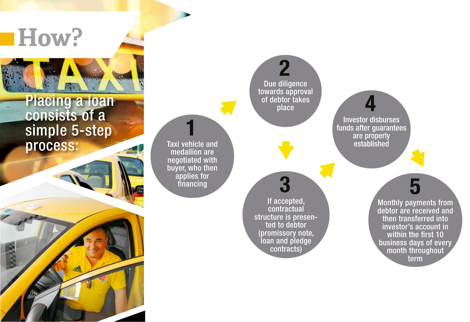

### Placing a loan consists of a simple 5-step process:

Taxi vehicle and medallion are negotiated with buyer, who then applies for **financial**<br>**i vehicle a**<br>edallion are<br>jotiated wer, who the<br>applies for<br>financing

Due diligence towards approval of debtor takes 2<br>dilige<br>ds app<br>ebtor ta<br>place

If accepted, contractual structure is presen ted to debtor (promissory note, loan and pledge **3**<br>f accepted<br>contractua<br>ture is pre<br>ed to debto<br>missory n<br>n and plec<br>contracts)

Investor disburses funds after guarantees are properly estor disbur<br>after guara<br>are properly<br>established

> term<br>aym<br>aym<br>acterns is acted<br>throw<br>term Monthly payments from debtor are received and then transferred into investor's account in within the first 10 business days of every month throughout term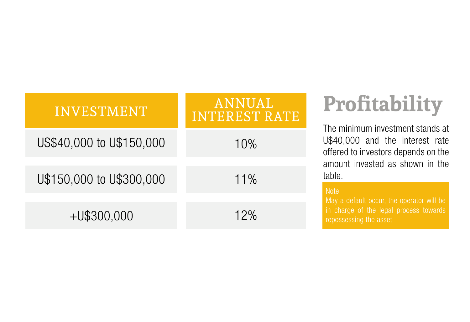| <b>INVESTMENT</b>        | <b>ANNUAL</b><br>INTEREST RATE |
|--------------------------|--------------------------------|
| US\$40,000 to U\$150,000 | 10%                            |
| U\$150,000 to U\$300,000 | $11\%$                         |
| $+U$300,000$             | 12%                            |

## **Profitability**

The minimum investment stands at U\$40,000 and the interest rate offered to investors depends on the amount invested as shown in the table.

#### Note:

May a default occur, the operator will be in charge of the legal process towards repossessing the asset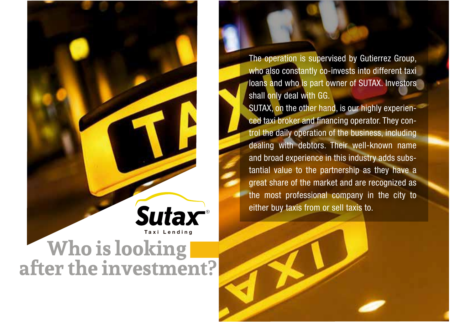Sutax **Taxi LendingWho is looking after the investment?**

The operation is supervised by Gutierrez Group, who also constantly co-invests into different taxi loans and who is part owner of SUTAX. Investors shall only deal with GG.

SUTAX, on the other hand, is our highly experienced taxi broker and financing operator. They control the daily operation of the business, including dealing with debtors. Their well-known name and broad experience in this industry adds substantial value to the partnership as they have a great share of the market and are recognized as the most professional company in the city to either buy taxis from or sell taxis to.